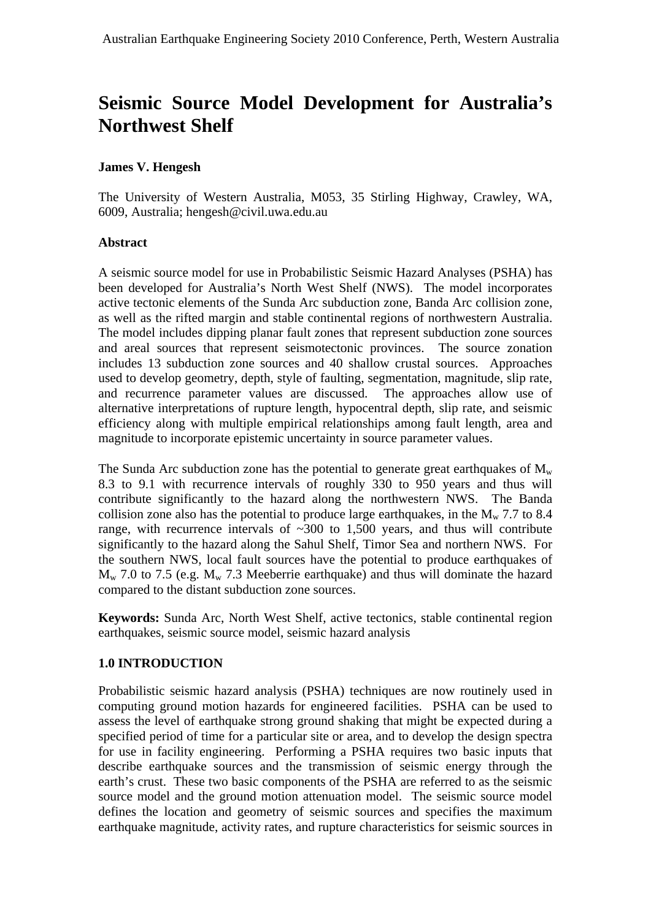# **Seismic Source Model Development for Australia's Northwest Shelf**

#### **James V. Hengesh**

The University of Western Australia, M053, 35 Stirling Highway, Crawley, WA, 6009, Australia; hengesh@civil.uwa.edu.au

#### **Abstract**

A seismic source model for use in Probabilistic Seismic Hazard Analyses (PSHA) has been developed for Australia's North West Shelf (NWS). The model incorporates active tectonic elements of the Sunda Arc subduction zone, Banda Arc collision zone, as well as the rifted margin and stable continental regions of northwestern Australia. The model includes dipping planar fault zones that represent subduction zone sources and areal sources that represent seismotectonic provinces. The source zonation includes 13 subduction zone sources and 40 shallow crustal sources. Approaches used to develop geometry, depth, style of faulting, segmentation, magnitude, slip rate, and recurrence parameter values are discussed. The approaches allow use of alternative interpretations of rupture length, hypocentral depth, slip rate, and seismic efficiency along with multiple empirical relationships among fault length, area and magnitude to incorporate epistemic uncertainty in source parameter values.

The Sunda Arc subduction zone has the potential to generate great earthquakes of  $M_w$ 8.3 to 9.1 with recurrence intervals of roughly 330 to 950 years and thus will contribute significantly to the hazard along the northwestern NWS. The Banda collision zone also has the potential to produce large earthquakes, in the  $M_{w}$  7.7 to 8.4 range, with recurrence intervals of  $\sim$ 300 to 1,500 years, and thus will contribute significantly to the hazard along the Sahul Shelf, Timor Sea and northern NWS. For the southern NWS, local fault sources have the potential to produce earthquakes of  $M_{w}$  7.0 to 7.5 (e.g.  $M_{w}$  7.3 Meeberrie earthquake) and thus will dominate the hazard compared to the distant subduction zone sources.

**Keywords:** Sunda Arc, North West Shelf, active tectonics, stable continental region earthquakes, seismic source model, seismic hazard analysis

### **1.0 INTRODUCTION**

Probabilistic seismic hazard analysis (PSHA) techniques are now routinely used in computing ground motion hazards for engineered facilities. PSHA can be used to assess the level of earthquake strong ground shaking that might be expected during a specified period of time for a particular site or area, and to develop the design spectra for use in facility engineering. Performing a PSHA requires two basic inputs that describe earthquake sources and the transmission of seismic energy through the earth's crust. These two basic components of the PSHA are referred to as the seismic source model and the ground motion attenuation model. The seismic source model defines the location and geometry of seismic sources and specifies the maximum earthquake magnitude, activity rates, and rupture characteristics for seismic sources in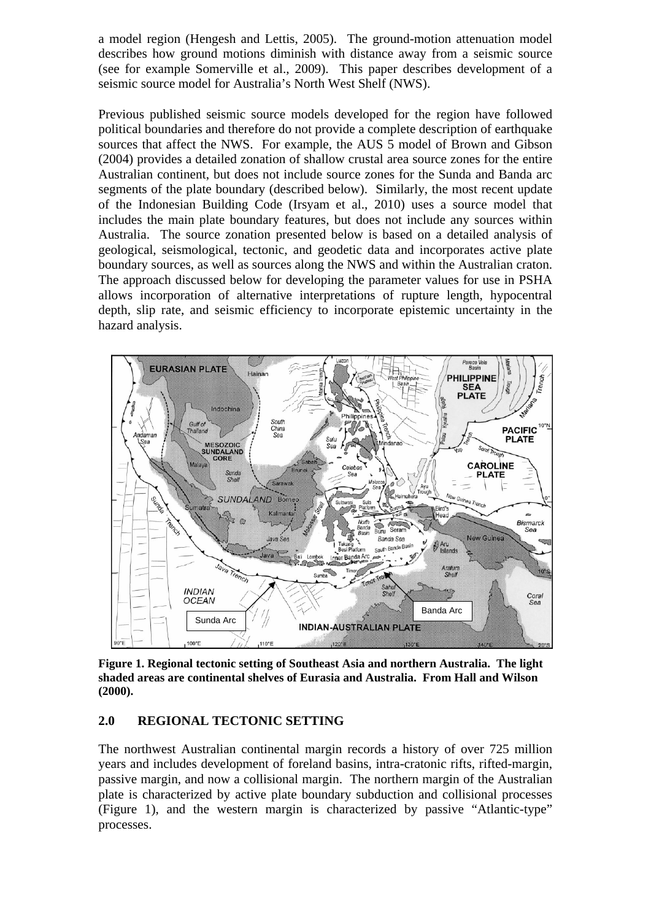a model region (Hengesh and Lettis, 2005). The ground-motion attenuation model describes how ground motions diminish with distance away from a seismic source (see for example Somerville et al., 2009). This paper describes development of a seismic source model for Australia's North West Shelf (NWS).

Previous published seismic source models developed for the region have followed political boundaries and therefore do not provide a complete description of earthquake sources that affect the NWS. For example, the AUS 5 model of Brown and Gibson (2004) provides a detailed zonation of shallow crustal area source zones for the entire Australian continent, but does not include source zones for the Sunda and Banda arc segments of the plate boundary (described below). Similarly, the most recent update of the Indonesian Building Code (Irsyam et al., 2010) uses a source model that includes the main plate boundary features, but does not include any sources within Australia. The source zonation presented below is based on a detailed analysis of geological, seismological, tectonic, and geodetic data and incorporates active plate boundary sources, as well as sources along the NWS and within the Australian craton. The approach discussed below for developing the parameter values for use in PSHA allows incorporation of alternative interpretations of rupture length, hypocentral depth, slip rate, and seismic efficiency to incorporate epistemic uncertainty in the hazard analysis.



**Figure 1. Regional tectonic setting of Southeast Asia and northern Australia. The light shaded areas are continental shelves of Eurasia and Australia. From Hall and Wilson (2000).** 

#### **2.0 REGIONAL TECTONIC SETTING**

The northwest Australian continental margin records a history of over 725 million years and includes development of foreland basins, intra-cratonic rifts, rifted-margin, passive margin, and now a collisional margin. The northern margin of the Australian plate is characterized by active plate boundary subduction and collisional processes (Figure 1), and the western margin is characterized by passive "Atlantic-type" processes.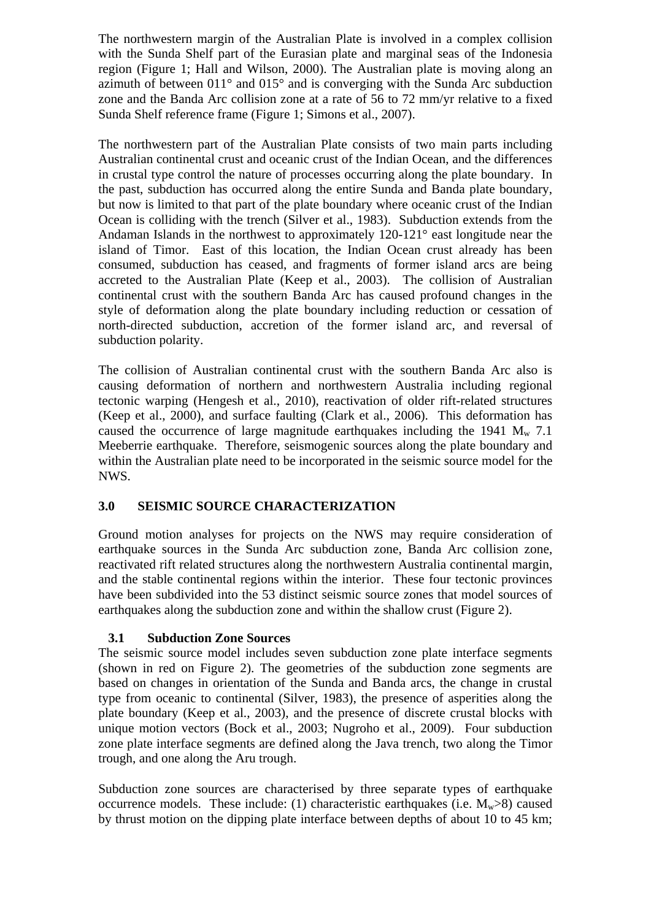The northwestern margin of the Australian Plate is involved in a complex collision with the Sunda Shelf part of the Eurasian plate and marginal seas of the Indonesia region (Figure 1; Hall and Wilson, 2000). The Australian plate is moving along an azimuth of between 011° and 015° and is converging with the Sunda Arc subduction zone and the Banda Arc collision zone at a rate of 56 to 72 mm/yr relative to a fixed Sunda Shelf reference frame (Figure 1; Simons et al., 2007).

The northwestern part of the Australian Plate consists of two main parts including Australian continental crust and oceanic crust of the Indian Ocean, and the differences in crustal type control the nature of processes occurring along the plate boundary. In the past, subduction has occurred along the entire Sunda and Banda plate boundary, but now is limited to that part of the plate boundary where oceanic crust of the Indian Ocean is colliding with the trench (Silver et al., 1983). Subduction extends from the Andaman Islands in the northwest to approximately 120-121° east longitude near the island of Timor. East of this location, the Indian Ocean crust already has been consumed, subduction has ceased, and fragments of former island arcs are being accreted to the Australian Plate (Keep et al., 2003). The collision of Australian continental crust with the southern Banda Arc has caused profound changes in the style of deformation along the plate boundary including reduction or cessation of north-directed subduction, accretion of the former island arc, and reversal of subduction polarity.

The collision of Australian continental crust with the southern Banda Arc also is causing deformation of northern and northwestern Australia including regional tectonic warping (Hengesh et al., 2010), reactivation of older rift-related structures (Keep et al., 2000), and surface faulting (Clark et al., 2006). This deformation has caused the occurrence of large magnitude earthquakes including the 1941  $M_w$  7.1 Meeberrie earthquake. Therefore, seismogenic sources along the plate boundary and within the Australian plate need to be incorporated in the seismic source model for the NWS.

### **3.0 SEISMIC SOURCE CHARACTERIZATION**

Ground motion analyses for projects on the NWS may require consideration of earthquake sources in the Sunda Arc subduction zone, Banda Arc collision zone, reactivated rift related structures along the northwestern Australia continental margin, and the stable continental regions within the interior. These four tectonic provinces have been subdivided into the 53 distinct seismic source zones that model sources of earthquakes along the subduction zone and within the shallow crust (Figure 2).

### **3.1 Subduction Zone Sources**

The seismic source model includes seven subduction zone plate interface segments (shown in red on Figure 2). The geometries of the subduction zone segments are based on changes in orientation of the Sunda and Banda arcs, the change in crustal type from oceanic to continental (Silver, 1983), the presence of asperities along the plate boundary (Keep et al., 2003), and the presence of discrete crustal blocks with unique motion vectors (Bock et al., 2003; Nugroho et al., 2009). Four subduction zone plate interface segments are defined along the Java trench, two along the Timor trough, and one along the Aru trough.

Subduction zone sources are characterised by three separate types of earthquake occurrence models. These include: (1) characteristic earthquakes (i.e.  $M_w > 8$ ) caused by thrust motion on the dipping plate interface between depths of about 10 to 45 km;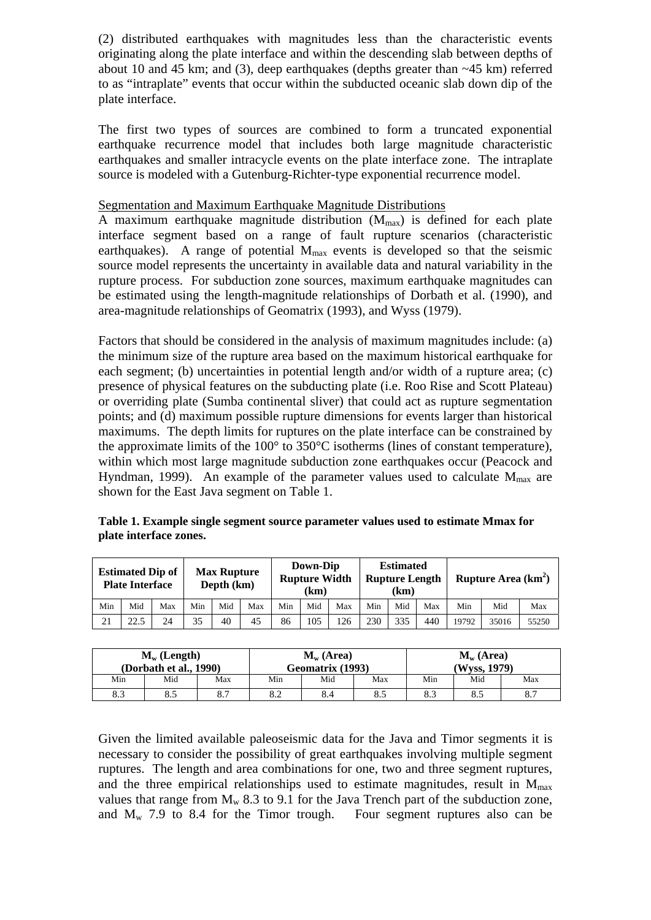(2) distributed earthquakes with magnitudes less than the characteristic events originating along the plate interface and within the descending slab between depths of about 10 and 45 km; and (3), deep earthquakes (depths greater than ~45 km) referred to as "intraplate" events that occur within the subducted oceanic slab down dip of the plate interface.

The first two types of sources are combined to form a truncated exponential earthquake recurrence model that includes both large magnitude characteristic earthquakes and smaller intracycle events on the plate interface zone. The intraplate source is modeled with a Gutenburg-Richter-type exponential recurrence model.

#### Segmentation and Maximum Earthquake Magnitude Distributions

A maximum earthquake magnitude distribution  $(M_{max})$  is defined for each plate interface segment based on a range of fault rupture scenarios (characteristic earthquakes). A range of potential  $M_{\text{max}}$  events is developed so that the seismic source model represents the uncertainty in available data and natural variability in the rupture process. For subduction zone sources, maximum earthquake magnitudes can be estimated using the length-magnitude relationships of Dorbath et al. (1990), and area-magnitude relationships of Geomatrix (1993), and Wyss (1979).

Factors that should be considered in the analysis of maximum magnitudes include: (a) the minimum size of the rupture area based on the maximum historical earthquake for each segment; (b) uncertainties in potential length and/or width of a rupture area; (c) presence of physical features on the subducting plate (i.e. Roo Rise and Scott Plateau) or overriding plate (Sumba continental sliver) that could act as rupture segmentation points; and (d) maximum possible rupture dimensions for events larger than historical maximums. The depth limits for ruptures on the plate interface can be constrained by the approximate limits of the 100° to 350°C isotherms (lines of constant temperature), within which most large magnitude subduction zone earthquakes occur (Peacock and Hyndman, 1999). An example of the parameter values used to calculate  $M_{\text{max}}$  are shown for the East Java segment on Table 1.

**Table 1. Example single segment source parameter values used to estimate Mmax for plate interface zones.** 

| <b>Estimated Dip of</b><br><b>Plate Interface</b> |      |     | <b>Max Rupture</b><br>Depth (km) |     |     | Down-Dip<br><b>Rupture Width</b><br>(km) |     |     | <b>Estimated</b><br><b>Rupture Length</b><br>(km |     |     | Rupture Area $(km^2)$ |       |       |
|---------------------------------------------------|------|-----|----------------------------------|-----|-----|------------------------------------------|-----|-----|--------------------------------------------------|-----|-----|-----------------------|-------|-------|
| Min                                               | Mid  | Max | Min                              | Mid | Max | Min                                      | Mid | Max | Min                                              | Mid | Max | Min                   | Mid   | Max   |
| 21                                                | 22.5 | 24  | 35                               | 40  | 45  | 86                                       | 105 | 126 | 230                                              | 335 | 440 | 19792                 | 35016 | 55250 |

| $M_w$ (Length)<br>(Dorbath et al., 1990) |     |     |     | $M_w(Area)$<br>Geomatrix (1993) |     | $M_w(Area)$<br>(Wyss, 1979) |     |     |  |
|------------------------------------------|-----|-----|-----|---------------------------------|-----|-----------------------------|-----|-----|--|
| Min                                      | Mid | Max | Min | Mid                             | Max | Min                         | Mid | Max |  |
| 8.3                                      | 8.5 | 8.7 | o.∠ | 8.4                             | 8.5 | 8.3                         | 8.5 | 8.7 |  |

Given the limited available paleoseismic data for the Java and Timor segments it is necessary to consider the possibility of great earthquakes involving multiple segment ruptures. The length and area combinations for one, two and three segment ruptures, and the three empirical relationships used to estimate magnitudes, result in  $M_{\text{max}}$ values that range from  $M_w$  8.3 to 9.1 for the Java Trench part of the subduction zone, and  $M_w$  7.9 to 8.4 for the Timor trough. Four segment ruptures also can be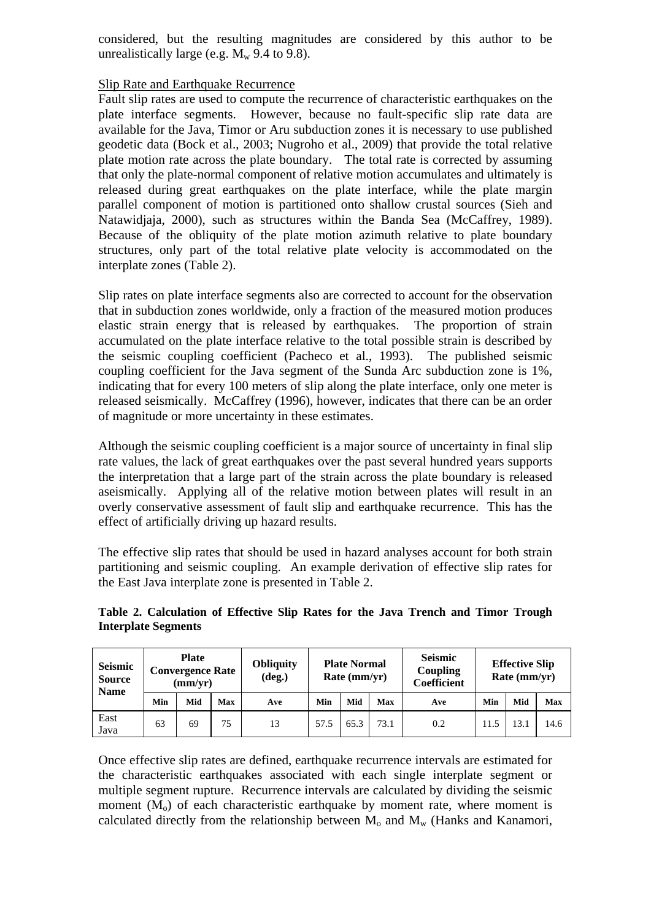considered, but the resulting magnitudes are considered by this author to be unrealistically large (e.g.  $M_w$  9.4 to 9.8).

#### Slip Rate and Earthquake Recurrence

Fault slip rates are used to compute the recurrence of characteristic earthquakes on the plate interface segments. However, because no fault-specific slip rate data are available for the Java, Timor or Aru subduction zones it is necessary to use published geodetic data (Bock et al., 2003; Nugroho et al., 2009) that provide the total relative plate motion rate across the plate boundary. The total rate is corrected by assuming that only the plate-normal component of relative motion accumulates and ultimately is released during great earthquakes on the plate interface, while the plate margin parallel component of motion is partitioned onto shallow crustal sources (Sieh and Natawidjaja, 2000), such as structures within the Banda Sea (McCaffrey, 1989). Because of the obliquity of the plate motion azimuth relative to plate boundary structures, only part of the total relative plate velocity is accommodated on the interplate zones (Table 2).

Slip rates on plate interface segments also are corrected to account for the observation that in subduction zones worldwide, only a fraction of the measured motion produces elastic strain energy that is released by earthquakes. The proportion of strain accumulated on the plate interface relative to the total possible strain is described by the seismic coupling coefficient (Pacheco et al., 1993). The published seismic coupling coefficient for the Java segment of the Sunda Arc subduction zone is 1%, indicating that for every 100 meters of slip along the plate interface, only one meter is released seismically. McCaffrey (1996), however, indicates that there can be an order of magnitude or more uncertainty in these estimates.

Although the seismic coupling coefficient is a major source of uncertainty in final slip rate values, the lack of great earthquakes over the past several hundred years supports the interpretation that a large part of the strain across the plate boundary is released aseismically. Applying all of the relative motion between plates will result in an overly conservative assessment of fault slip and earthquake recurrence. This has the effect of artificially driving up hazard results.

The effective slip rates that should be used in hazard analyses account for both strain partitioning and seismic coupling. An example derivation of effective slip rates for the East Java interplate zone is presented in Table 2.

| Table 2. Calculation of Effective Slip Rates for the Java Trench and Timor Trough |  |  |  |  |  |
|-----------------------------------------------------------------------------------|--|--|--|--|--|
| <b>Interplate Segments</b>                                                        |  |  |  |  |  |

| <b>Seismic</b><br><b>Source</b><br><b>Name</b> | <b>Plate</b><br><b>Convergence Rate</b><br>(mm/yr) |     |     | <b>Obliquity</b><br>(deg.) | <b>Plate Normal</b><br>Rate $(mm/yr)$ |      |      | Seismic<br>Coupling<br><b>Coefficient</b> | <b>Effective Slip</b><br>Rate (mm/yr) |      |      |
|------------------------------------------------|----------------------------------------------------|-----|-----|----------------------------|---------------------------------------|------|------|-------------------------------------------|---------------------------------------|------|------|
|                                                | Min                                                | Mid | Max | Ave                        | Min                                   | Mid  | Max  | Ave                                       | Min                                   | Mid  | Max  |
| East<br>Java                                   | 63                                                 | 69  | 75  | 13                         | 57.5                                  | 65.3 | 73.1 | 0.2                                       | 11.5                                  | 13.7 | 14.6 |

Once effective slip rates are defined, earthquake recurrence intervals are estimated for the characteristic earthquakes associated with each single interplate segment or multiple segment rupture. Recurrence intervals are calculated by dividing the seismic moment  $(M<sub>o</sub>)$  of each characteristic earthquake by moment rate, where moment is calculated directly from the relationship between  $M_0$  and  $M_w$  (Hanks and Kanamori,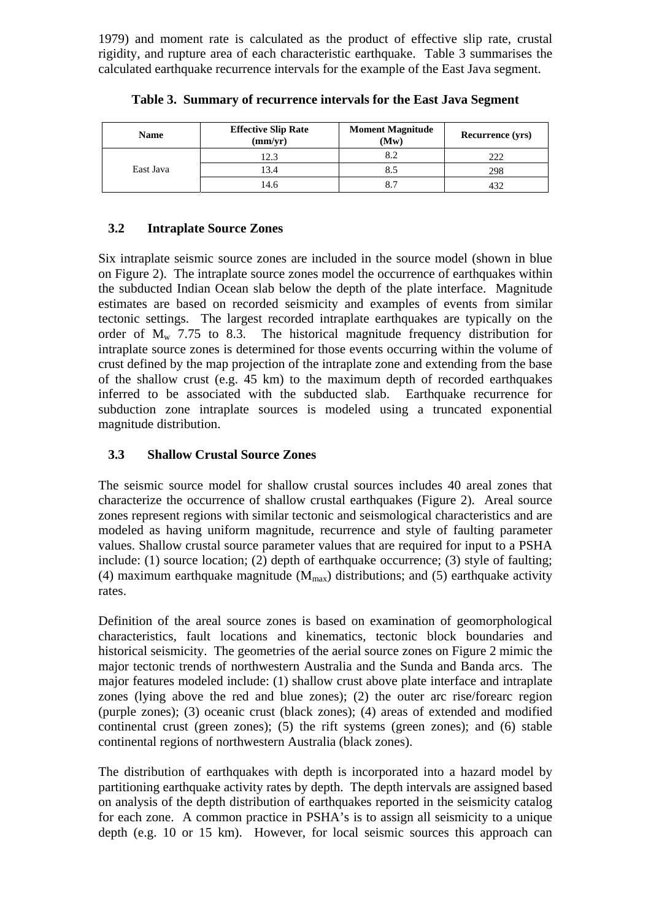1979) and moment rate is calculated as the product of effective slip rate, crustal rigidity, and rupture area of each characteristic earthquake. Table 3 summarises the calculated earthquake recurrence intervals for the example of the East Java segment.

| <b>Name</b> | <b>Effective Slip Rate</b><br>(mm/yr) | <b>Moment Magnitude</b><br>(Mw) | <b>Recurrence (yrs)</b> |
|-------------|---------------------------------------|---------------------------------|-------------------------|
|             | 12.3                                  | 8.2                             | 222                     |
| East Java   | 13.4                                  | 8.5                             | 298                     |
|             | 14.6                                  | 8.7                             | 432                     |

**Table 3. Summary of recurrence intervals for the East Java Segment** 

# **3.2 Intraplate Source Zones**

Six intraplate seismic source zones are included in the source model (shown in blue on Figure 2). The intraplate source zones model the occurrence of earthquakes within the subducted Indian Ocean slab below the depth of the plate interface. Magnitude estimates are based on recorded seismicity and examples of events from similar tectonic settings. The largest recorded intraplate earthquakes are typically on the order of  $M_{\rm w}$  7.75 to 8.3. The historical magnitude frequency distribution for intraplate source zones is determined for those events occurring within the volume of crust defined by the map projection of the intraplate zone and extending from the base of the shallow crust (e.g. 45 km) to the maximum depth of recorded earthquakes inferred to be associated with the subducted slab. Earthquake recurrence for subduction zone intraplate sources is modeled using a truncated exponential magnitude distribution.

# **3.3 Shallow Crustal Source Zones**

The seismic source model for shallow crustal sources includes 40 areal zones that characterize the occurrence of shallow crustal earthquakes (Figure 2). Areal source zones represent regions with similar tectonic and seismological characteristics and are modeled as having uniform magnitude, recurrence and style of faulting parameter values. Shallow crustal source parameter values that are required for input to a PSHA include: (1) source location; (2) depth of earthquake occurrence; (3) style of faulting; (4) maximum earthquake magnitude  $(M_{max})$  distributions; and (5) earthquake activity rates.

Definition of the areal source zones is based on examination of geomorphological characteristics, fault locations and kinematics, tectonic block boundaries and historical seismicity. The geometries of the aerial source zones on Figure 2 mimic the major tectonic trends of northwestern Australia and the Sunda and Banda arcs. The major features modeled include: (1) shallow crust above plate interface and intraplate zones (lying above the red and blue zones); (2) the outer arc rise/forearc region (purple zones); (3) oceanic crust (black zones); (4) areas of extended and modified continental crust (green zones); (5) the rift systems (green zones); and (6) stable continental regions of northwestern Australia (black zones).

The distribution of earthquakes with depth is incorporated into a hazard model by partitioning earthquake activity rates by depth. The depth intervals are assigned based on analysis of the depth distribution of earthquakes reported in the seismicity catalog for each zone. A common practice in PSHA's is to assign all seismicity to a unique depth (e.g. 10 or 15 km). However, for local seismic sources this approach can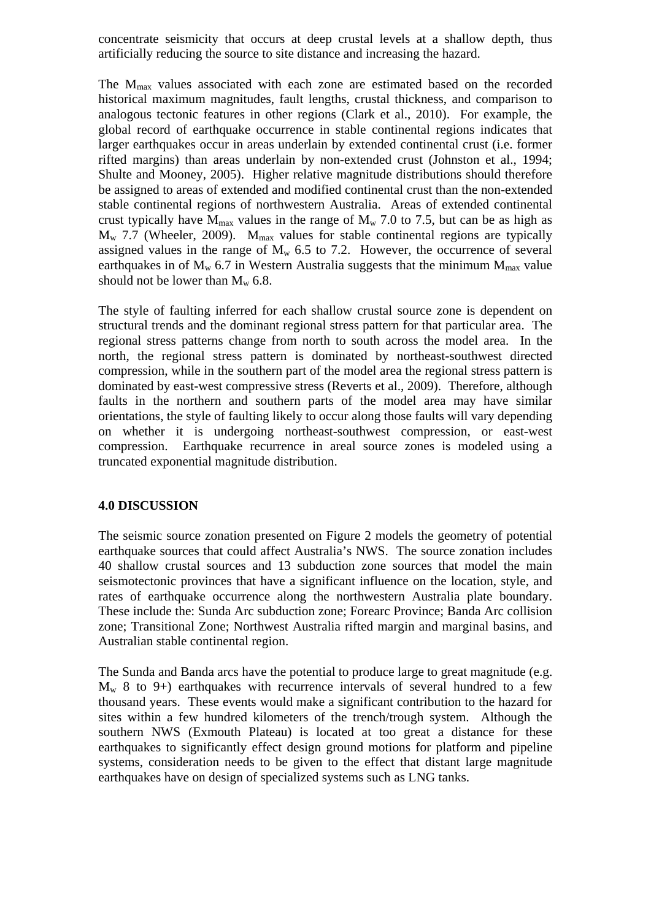concentrate seismicity that occurs at deep crustal levels at a shallow depth, thus artificially reducing the source to site distance and increasing the hazard.

The M<sub>max</sub> values associated with each zone are estimated based on the recorded historical maximum magnitudes, fault lengths, crustal thickness, and comparison to analogous tectonic features in other regions (Clark et al., 2010). For example, the global record of earthquake occurrence in stable continental regions indicates that larger earthquakes occur in areas underlain by extended continental crust (i.e. former rifted margins) than areas underlain by non-extended crust (Johnston et al., 1994; Shulte and Mooney, 2005). Higher relative magnitude distributions should therefore be assigned to areas of extended and modified continental crust than the non-extended stable continental regions of northwestern Australia. Areas of extended continental crust typically have  $\overline{M}_{max}$  values in the range of  $M_w$  7.0 to 7.5, but can be as high as  $M_{w}$  7.7 (Wheeler, 2009).  $M_{max}$  values for stable continental regions are typically assigned values in the range of  $M_w$  6.5 to 7.2. However, the occurrence of several earthquakes in of  $M_w$  6.7 in Western Australia suggests that the minimum  $M_{max}$  value should not be lower than  $M_w$  6.8.

The style of faulting inferred for each shallow crustal source zone is dependent on structural trends and the dominant regional stress pattern for that particular area. The regional stress patterns change from north to south across the model area. In the north, the regional stress pattern is dominated by northeast-southwest directed compression, while in the southern part of the model area the regional stress pattern is dominated by east-west compressive stress (Reverts et al., 2009). Therefore, although faults in the northern and southern parts of the model area may have similar orientations, the style of faulting likely to occur along those faults will vary depending on whether it is undergoing northeast-southwest compression, or east-west compression. Earthquake recurrence in areal source zones is modeled using a truncated exponential magnitude distribution.

#### **4.0 DISCUSSION**

The seismic source zonation presented on Figure 2 models the geometry of potential earthquake sources that could affect Australia's NWS. The source zonation includes 40 shallow crustal sources and 13 subduction zone sources that model the main seismotectonic provinces that have a significant influence on the location, style, and rates of earthquake occurrence along the northwestern Australia plate boundary. These include the: Sunda Arc subduction zone; Forearc Province; Banda Arc collision zone; Transitional Zone; Northwest Australia rifted margin and marginal basins, and Australian stable continental region.

The Sunda and Banda arcs have the potential to produce large to great magnitude (e.g.  $M_w$  8 to 9+) earthquakes with recurrence intervals of several hundred to a few thousand years. These events would make a significant contribution to the hazard for sites within a few hundred kilometers of the trench/trough system. Although the southern NWS (Exmouth Plateau) is located at too great a distance for these earthquakes to significantly effect design ground motions for platform and pipeline systems, consideration needs to be given to the effect that distant large magnitude earthquakes have on design of specialized systems such as LNG tanks.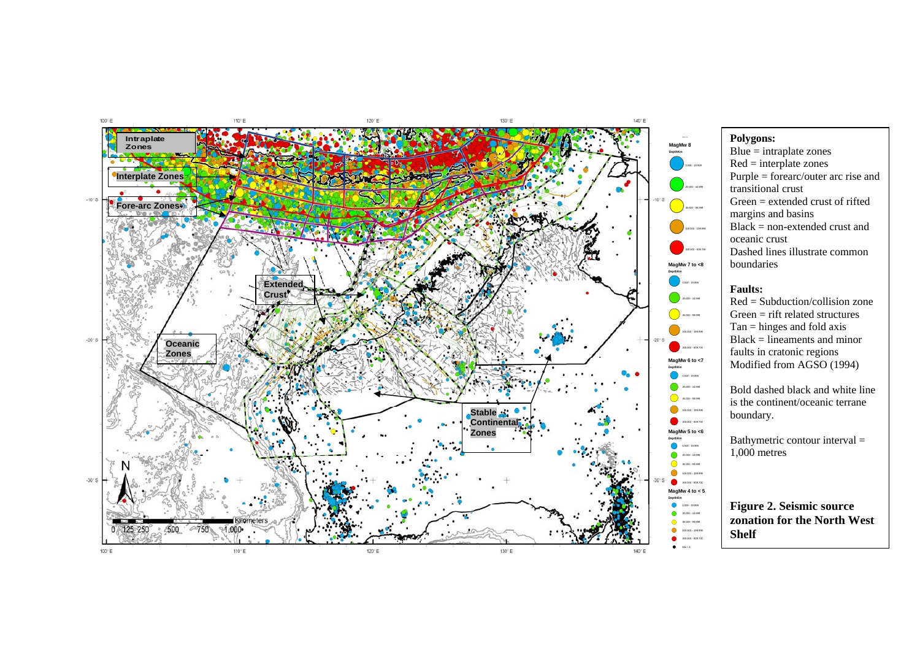

#### **Polygons:**

 $Blue = intraplate zones$  $Red = interplate zones$ Purple = forearc/outer arc rise and transitional crust Green = extended crust of rifted margins and basins Black = non-extended crust and oceanic crust Dashed lines illustrate common boundaries

#### **Faults:**

Red = Subduction/collision zone Green = rift related structures Tan = hinges and fold axis Black = lineaments and minor faults in cratonic regions Modified from AGSO (1994)

Bold dashed black and white line is the continent/oceanic terrane boundary.

Bathymetric contour interval = 1,000 metres

**Figure 2. Seismic source zonation for the North West Shelf**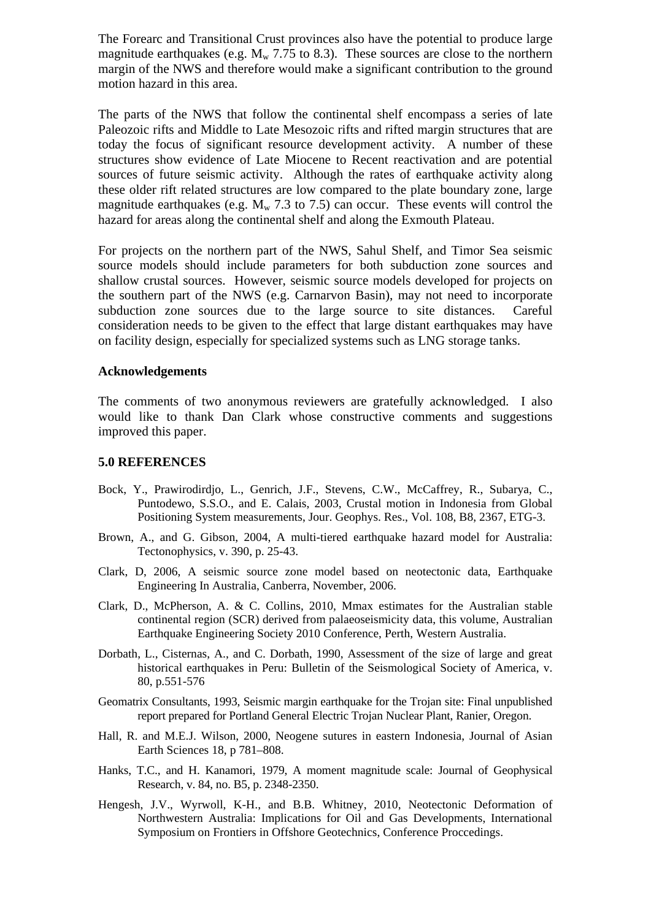The Forearc and Transitional Crust provinces also have the potential to produce large magnitude earthquakes (e.g.  $M_{w}$  7.75 to 8.3). These sources are close to the northern margin of the NWS and therefore would make a significant contribution to the ground motion hazard in this area.

The parts of the NWS that follow the continental shelf encompass a series of late Paleozoic rifts and Middle to Late Mesozoic rifts and rifted margin structures that are today the focus of significant resource development activity. A number of these structures show evidence of Late Miocene to Recent reactivation and are potential sources of future seismic activity. Although the rates of earthquake activity along these older rift related structures are low compared to the plate boundary zone, large magnitude earthquakes (e.g.  $M_w$  7.3 to 7.5) can occur. These events will control the hazard for areas along the continental shelf and along the Exmouth Plateau.

For projects on the northern part of the NWS, Sahul Shelf, and Timor Sea seismic source models should include parameters for both subduction zone sources and shallow crustal sources. However, seismic source models developed for projects on the southern part of the NWS (e.g. Carnarvon Basin), may not need to incorporate subduction zone sources due to the large source to site distances. Careful consideration needs to be given to the effect that large distant earthquakes may have on facility design, especially for specialized systems such as LNG storage tanks.

#### **Acknowledgements**

The comments of two anonymous reviewers are gratefully acknowledged. I also would like to thank Dan Clark whose constructive comments and suggestions improved this paper.

#### **5.0 REFERENCES**

- Bock, Y., Prawirodirdjo, L., Genrich, J.F., Stevens, C.W., McCaffrey, R., Subarya, C., Puntodewo, S.S.O., and E. Calais, 2003, Crustal motion in Indonesia from Global Positioning System measurements, Jour. Geophys. Res., Vol. 108, B8, 2367, ETG-3.
- Brown, A., and G. Gibson, 2004, A multi-tiered earthquake hazard model for Australia: Tectonophysics, v. 390, p. 25-43.
- Clark, D, 2006, A seismic source zone model based on neotectonic data, Earthquake Engineering In Australia, Canberra, November, 2006.
- Clark, D., McPherson, A. & C. Collins, 2010, Mmax estimates for the Australian stable continental region (SCR) derived from palaeoseismicity data, this volume, Australian Earthquake Engineering Society 2010 Conference, Perth, Western Australia.
- Dorbath, L., Cisternas, A., and C. Dorbath, 1990, Assessment of the size of large and great historical earthquakes in Peru: Bulletin of the Seismological Society of America, v. 80, p.551-576
- Geomatrix Consultants, 1993, Seismic margin earthquake for the Trojan site: Final unpublished report prepared for Portland General Electric Trojan Nuclear Plant, Ranier, Oregon.
- Hall, R. and M.E.J. Wilson, 2000, Neogene sutures in eastern Indonesia, Journal of Asian Earth Sciences 18, p 781–808.
- Hanks, T.C., and H. Kanamori, 1979, A moment magnitude scale: Journal of Geophysical Research, v. 84, no. B5, p. 2348-2350.
- Hengesh, J.V., Wyrwoll, K-H., and B.B. Whitney, 2010, Neotectonic Deformation of Northwestern Australia: Implications for Oil and Gas Developments, International Symposium on Frontiers in Offshore Geotechnics, Conference Proccedings.